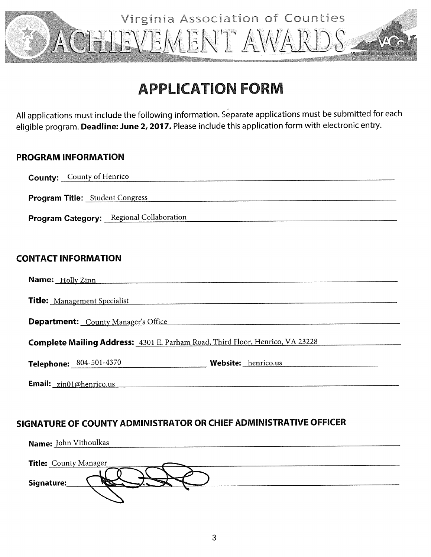

# **APPLICATION FORM**

All applications must include the following information. Separate applications must be submitted for each eligible program. Deadline: June 2, 2017. Please include this application form with electronic entry.

## **PROGRAM INFORMATION**

| <b>County:</b> County of Henrico                                                     |
|--------------------------------------------------------------------------------------|
| <b>Program Title:</b> Student Congress                                               |
| Program Category: Regional Collaboration                                             |
|                                                                                      |
| <b>CONTACT INFORMATION</b>                                                           |
| Name: Holly Zinn                                                                     |
| <b>Title:</b> Management Specialist                                                  |
| <b>Department:</b> County Manager's Office                                           |
| <b>Complete Mailing Address:</b> 4301 E. Parham Road, Third Floor, Henrico, VA 23228 |
| Telephone: 804-501-4370<br>Website: henrico.us                                       |
| <b>Email:</b> zin01@henrico.us                                                       |

# SIGNATURE OF COUNTY ADMINISTRATOR OR CHIEF ADMINISTRATIVE OFFICER

| Name: John Vithoulkas        |
|------------------------------|
|                              |
| <b>Title:</b> County Manager |
|                              |
| Signature:                   |
|                              |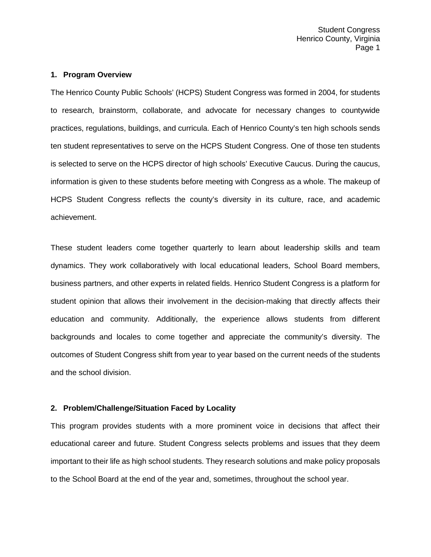#### **1. Program Overview**

The Henrico County Public Schools' (HCPS) Student Congress was formed in 2004, for students to research, brainstorm, collaborate, and advocate for necessary changes to countywide practices, regulations, buildings, and curricula. Each of Henrico County's ten high schools sends ten student representatives to serve on the HCPS Student Congress. One of those ten students is selected to serve on the HCPS director of high schools' Executive Caucus. During the caucus, information is given to these students before meeting with Congress as a whole. The makeup of HCPS Student Congress reflects the county's diversity in its culture, race, and academic achievement.

These student leaders come together quarterly to learn about leadership skills and team dynamics. They work collaboratively with local educational leaders, School Board members, business partners, and other experts in related fields. Henrico Student Congress is a platform for student opinion that allows their involvement in the decision-making that directly affects their education and community. Additionally, the experience allows students from different backgrounds and locales to come together and appreciate the community's diversity. The outcomes of Student Congress shift from year to year based on the current needs of the students and the school division.

## **2. Problem/Challenge/Situation Faced by Locality**

This program provides students with a more prominent voice in decisions that affect their educational career and future. Student Congress selects problems and issues that they deem important to their life as high school students. They research solutions and make policy proposals to the School Board at the end of the year and, sometimes, throughout the school year.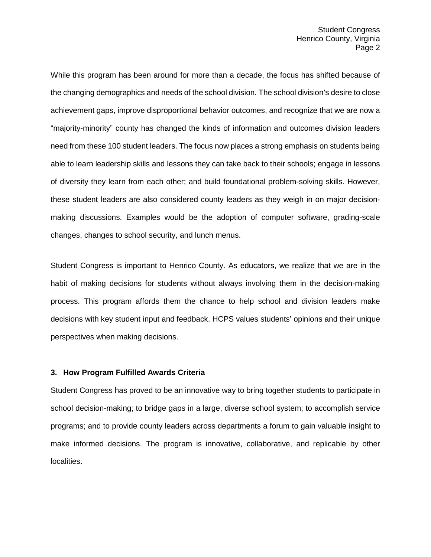While this program has been around for more than a decade, the focus has shifted because of the changing demographics and needs of the school division. The school division's desire to close achievement gaps, improve disproportional behavior outcomes, and recognize that we are now a "majority-minority" county has changed the kinds of information and outcomes division leaders need from these 100 student leaders. The focus now places a strong emphasis on students being able to learn leadership skills and lessons they can take back to their schools; engage in lessons of diversity they learn from each other; and build foundational problem-solving skills. However, these student leaders are also considered county leaders as they weigh in on major decisionmaking discussions. Examples would be the adoption of computer software, grading-scale changes, changes to school security, and lunch menus.

Student Congress is important to Henrico County. As educators, we realize that we are in the habit of making decisions for students without always involving them in the decision-making process. This program affords them the chance to help school and division leaders make decisions with key student input and feedback. HCPS values students' opinions and their unique perspectives when making decisions.

#### **3. How Program Fulfilled Awards Criteria**

Student Congress has proved to be an innovative way to bring together students to participate in school decision-making; to bridge gaps in a large, diverse school system; to accomplish service programs; and to provide county leaders across departments a forum to gain valuable insight to make informed decisions. The program is innovative, collaborative, and replicable by other localities.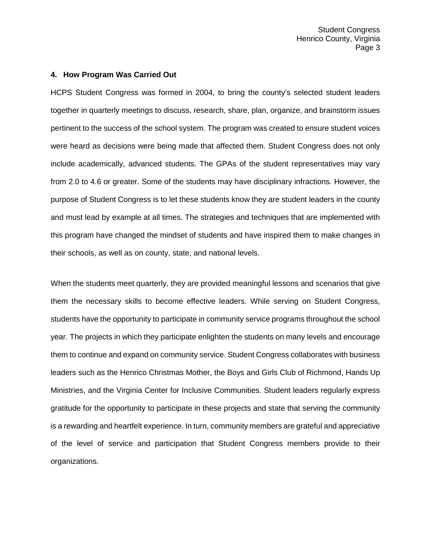#### **4. How Program Was Carried Out**

HCPS Student Congress was formed in 2004, to bring the county's selected student leaders together in quarterly meetings to discuss, research, share, plan, organize, and brainstorm issues pertinent to the success of the school system. The program was created to ensure student voices were heard as decisions were being made that affected them. Student Congress does not only include academically, advanced students. The GPAs of the student representatives may vary from 2.0 to 4.6 or greater. Some of the students may have disciplinary infractions. However, the purpose of Student Congress is to let these students know they are student leaders in the county and must lead by example at all times. The strategies and techniques that are implemented with this program have changed the mindset of students and have inspired them to make changes in their schools, as well as on county, state, and national levels.

When the students meet quarterly, they are provided meaningful lessons and scenarios that give them the necessary skills to become effective leaders. While serving on Student Congress, students have the opportunity to participate in community service programs throughout the school year. The projects in which they participate enlighten the students on many levels and encourage them to continue and expand on community service. Student Congress collaborates with business leaders such as the Henrico Christmas Mother, the Boys and Girls Club of Richmond, Hands Up Ministries, and the Virginia Center for Inclusive Communities. Student leaders regularly express gratitude for the opportunity to participate in these projects and state that serving the community is a rewarding and heartfelt experience. In turn, community members are grateful and appreciative of the level of service and participation that Student Congress members provide to their organizations.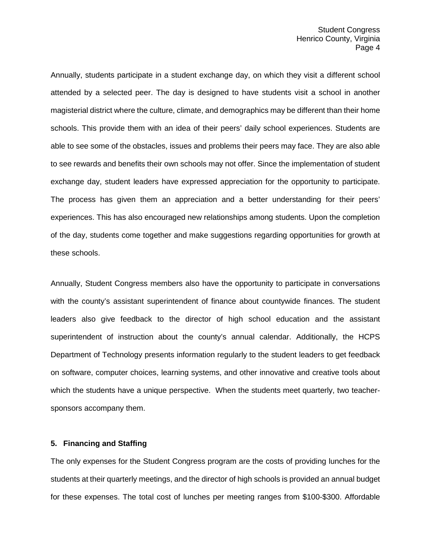Annually, students participate in a student exchange day, on which they visit a different school attended by a selected peer. The day is designed to have students visit a school in another magisterial district where the culture, climate, and demographics may be different than their home schools. This provide them with an idea of their peers' daily school experiences. Students are able to see some of the obstacles, issues and problems their peers may face. They are also able to see rewards and benefits their own schools may not offer. Since the implementation of student exchange day, student leaders have expressed appreciation for the opportunity to participate. The process has given them an appreciation and a better understanding for their peers' experiences. This has also encouraged new relationships among students. Upon the completion of the day, students come together and make suggestions regarding opportunities for growth at these schools.

Annually, Student Congress members also have the opportunity to participate in conversations with the county's assistant superintendent of finance about countywide finances. The student leaders also give feedback to the director of high school education and the assistant superintendent of instruction about the county's annual calendar. Additionally, the HCPS Department of Technology presents information regularly to the student leaders to get feedback on software, computer choices, learning systems, and other innovative and creative tools about which the students have a unique perspective. When the students meet quarterly, two teachersponsors accompany them.

#### **5. Financing and Staffing**

The only expenses for the Student Congress program are the costs of providing lunches for the students at their quarterly meetings, and the director of high schools is provided an annual budget for these expenses. The total cost of lunches per meeting ranges from \$100-\$300. Affordable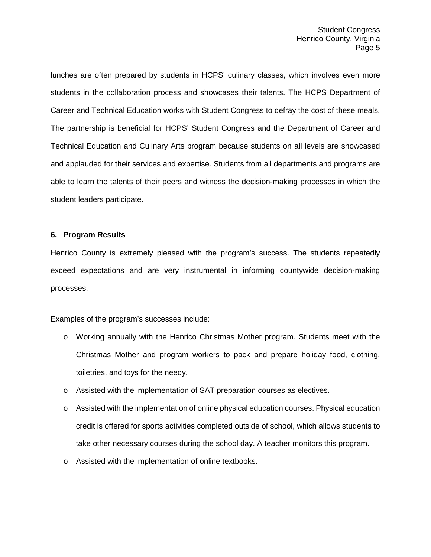lunches are often prepared by students in HCPS' culinary classes, which involves even more students in the collaboration process and showcases their talents. The HCPS Department of Career and Technical Education works with Student Congress to defray the cost of these meals. The partnership is beneficial for HCPS' Student Congress and the Department of Career and Technical Education and Culinary Arts program because students on all levels are showcased and applauded for their services and expertise. Students from all departments and programs are able to learn the talents of their peers and witness the decision-making processes in which the student leaders participate.

### **6. Program Results**

Henrico County is extremely pleased with the program's success. The students repeatedly exceed expectations and are very instrumental in informing countywide decision-making processes.

Examples of the program's successes include:

- o Working annually with the Henrico Christmas Mother program. Students meet with the Christmas Mother and program workers to pack and prepare holiday food, clothing, toiletries, and toys for the needy.
- o Assisted with the implementation of SAT preparation courses as electives.
- $\circ$  Assisted with the implementation of online physical education courses. Physical education credit is offered for sports activities completed outside of school, which allows students to take other necessary courses during the school day. A teacher monitors this program.
- o Assisted with the implementation of online textbooks.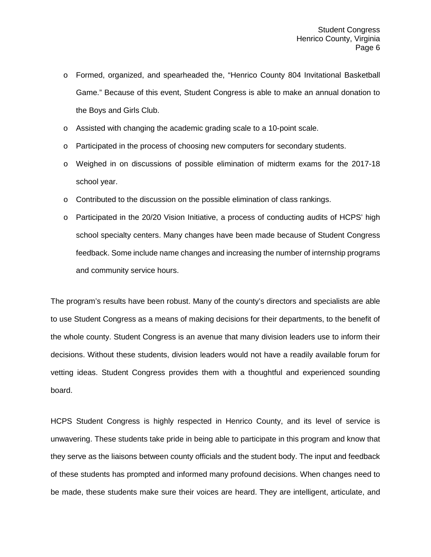- o Formed, organized, and spearheaded the, "Henrico County 804 Invitational Basketball Game." Because of this event, Student Congress is able to make an annual donation to the Boys and Girls Club.
- o Assisted with changing the academic grading scale to a 10-point scale.
- o Participated in the process of choosing new computers for secondary students.
- o Weighed in on discussions of possible elimination of midterm exams for the 2017-18 school year.
- o Contributed to the discussion on the possible elimination of class rankings.
- o Participated in the 20/20 Vision Initiative, a process of conducting audits of HCPS' high school specialty centers. Many changes have been made because of Student Congress feedback. Some include name changes and increasing the number of internship programs and community service hours.

The program's results have been robust. Many of the county's directors and specialists are able to use Student Congress as a means of making decisions for their departments, to the benefit of the whole county. Student Congress is an avenue that many division leaders use to inform their decisions. Without these students, division leaders would not have a readily available forum for vetting ideas. Student Congress provides them with a thoughtful and experienced sounding board.

HCPS Student Congress is highly respected in Henrico County, and its level of service is unwavering. These students take pride in being able to participate in this program and know that they serve as the liaisons between county officials and the student body. The input and feedback of these students has prompted and informed many profound decisions. When changes need to be made, these students make sure their voices are heard. They are intelligent, articulate, and